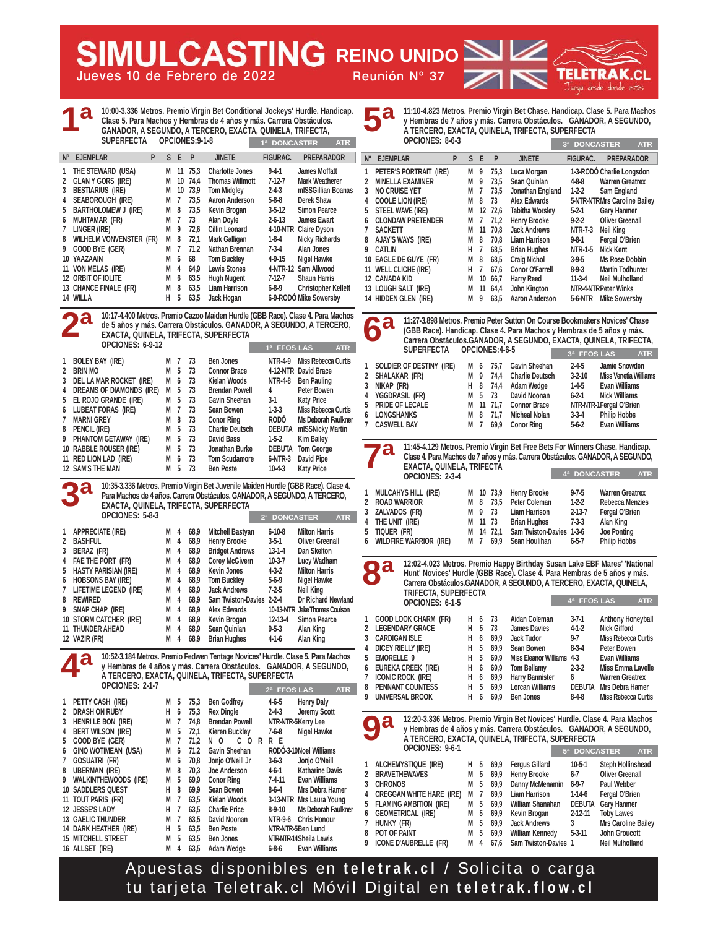**Jueves 10 de Febrero de 2022 Reunión Nº 37**

**10:00-3.336 Metros. Premio Virgin Bet Conditional Jockeys' Hurdle. Handicap. Clase 5. Para Machos y Hembras de 4 años y más. Carrera Obstáculos. GANADOR, A SEGUNDO, A TERCERO, EXACTA, QUINELA, TRIFECTA, SUPERFECTA OPCIONES:9-1-8 1 THE STEWARD (USA) M 11 75,3 Charlotte Jones 9-4-1 James Moffatt**  2 GLAN Y GORS (IRE) M 10 74.4 Thomas Willmott 7-12-7 Mark Weatherer **3 BESTIARIUS (IRE) M 10 73,9 Tom Midgley 2-4-3 mISSGillian Boanas 4 SEABOROUGH (IRE) M 7 73,5 Aaron Anderson 5-8-8 Derek Shaw 5 BARTHOLOMEW J (IRE) M 8 73,5 Kevin Brogan 3-5-12 Simon Pearce 6 MUHTAMAR (FR) M 7 73 Alan Doyle 2-6-13 James Ewart 7 LINGER (IRE) M 9 72,6 Cillin Leonard 4-10-NTR Claire Dyson 8 WILHELM VONVENSTER (FR) M 8 72,1 Mark Galligan 1-8-4 Nicky Richards 9 GOOD BYE (GER) M 7 71,2 Nathan Brennan 7-3-4 Alan Jones**  10 YAAZAAIN **M 6 68** Tom Buckley 4-9-15 Nigel Hawke<br>11 VON MELAS (IRE) M 4 64,9 Lewis Stones 4-NTR-12 Sam Allwood **Nº EJEMPLAR P S E P JINETE FIGURAC. PREPARADOR 1ª 1ª DONCASTER ATR**

M 4 64,9 Lewis Stones 4-NTR-12 Sam Allwood<br>M 6 63,5 Hugh Nugent 7-12-7 Shaun Harris **12 ORBIT OF IOLITE M 6 63,5 Hugh Nugent 7-12-7 Shaun Harris 13 CHANCE FINALE (FR)** M 8 63,5<br>**14 WILLA** H 5 63,5 **14 WILLA H 5 63,5 Jack Hogan 6-9-RODÓ Mike Sowersby** 

**REING REINO UNIDO** 

**10:17-4.400 Metros. Premio Cazoo Maiden Hurdle (GBB Race). Clase 4. Para Machos de 5 años y más. Carrera Obstáculos. GANADOR, A SEGUNDO, A TERCERO, EXACTA, QUINELA, TRIFECTA, SUPERFECTA OPCIONES: 6-9-12 1 BOLEY BAY (IRE) M 7 73 Ben Jones NTR-4-9 Miss Rebecca Curtis 2 BRIN MO M 5 73 Connor Brace 4-12-NTR David Brace 3 DEL LA MAR ROCKET (IRE) M 6 73 Kielan Woods NTR-4-8 Ben Pauling 4 DREAMS OF DIAMONDS (IRE) M 5 73 Brendan Powell 4 Peter Bowen 5 EL ROJO GRANDE (IRE) M 5 73 Gavin Sheehan 3-1 Katy Price 6 LUBEAT FORAS (IRE) M 7 73 Sean Bowen 1-3-3 Miss Rebecca Curtis 7 MARNI GREY M 8 73 Conor Ring RODÓ Ms Deborah Faulkner 8 PENCIL (IRE) M 5 73 Charlie Deutsch DEBUTA mISSNicky Martin 9 PHANTOM GETAWAY (IRE) M 5 73 David Bass 1-5-2 Kim Bailey**  10 RABBLE ROUSER (IRE) M 5 73 Jonathan Burke DEBUTA Tom George<br>11 RED LION LAD (IRE) M 6 73 Tom Scudamore 6-NTR-3 David Pipe 11 RED LION LAD (IRE) M 6 73 Tom Scudamore 6-NTR-3 David Pipe **12 SAM'S THE MAN M 5 73 Ben Poste 10-4-3 Katy Price 1ª FFOS LAS ATR 2ª**

**10:35-3.336 Metros. Premio Virgin Bet Juvenile Maiden Hurdle (GBB Race). Clase 4. Para Machos de 4 años. Carrera Obstáculos. GANADOR, A SEGUNDO, A TERCERO, EXACTA, QUINELA, TRIFECTA, SUPERFECTA OPCIONES: 5-8-3 1 APPRECIATE (IRE) M 4 68,9 Mitchell Bastyan 6-10-8 Milton Harris 2 BASHFUL M 4 68,9 Henry Brooke 3-5-1 Oliver Greenall 3 BERAZ (FR) M 4 68,9 Bridget Andrews 13-1-4 Dan Skelton**  4 FAE THE PORT (FR) M 4 68,9 Corey McGivern 10-3-7 **5 HASTY PARISIAN (IRE) M 4 68,9 Kevin Jones 4-3-2 Milton Harris 6 HOBSONS BAY (IRE) M 4 68,9 Tom Buckley 5-6-9 Nigel Hawke 7 LIFETIME LEGEND (IRE) M 4 68,9 Jack Andrews 7-2-5 Neil King 8 REWIRED M 4 68,9 Sam Twiston-Davies 2-2-4 Dr Richard Newland 9 SNAP CHAP (IRE) M 4 68,9 Alex Edwards 10-13-NTR Jake Thomas Coulson**  10 STORM CATCHER (IRE) M 4 68,9 Kevin Brogan **11 THUNDER AHEAD M 4 68,9 Sean Quinlan 9-5-3 Alan King 12 VAZIR (FR) M 4 68,9 Brian Hughes 4-1-6 Alan King 2ª DONCASTER ATR 3ª**

**10:52-3.184 Metros. Premio Fedwen Tentage Novices' Hurdle. Clase 5. Para Machos y Hembras de 4 años y más. Carrera Obstáculos. GANADOR, A SEGUNDO, A TERCERO, EXACTA, QUINELA, TRIFECTA, SUPERFECTA OPCIONES: 2-1-7 2ª FFOS LAS ATR 4ª**

| 1 | PETTY CASH (IRE)            | М | 5 | 75,3 | <b>Ben Godfrey</b>    | $4 - 6 - 5$  | <b>Henry Daly</b>        |
|---|-----------------------------|---|---|------|-----------------------|--------------|--------------------------|
| 2 | DRASH ON RUBY               | н | 6 | 75,3 | <b>Rex Dingle</b>     | $2 - 4 - 3$  | <b>Jeremy Scott</b>      |
| 3 | HENRI LE BON (IRE)          | М | 7 | 74.8 | <b>Brendan Powell</b> |              | NTR-NTR-5Kerry Lee       |
| 4 | <b>BERT WILSON (IRE)</b>    | M | 5 | 72,1 | <b>Kieren Buckley</b> | $7-6-8$      | Nigel Hawke              |
| 5 | GOOD BYE (GER)              | М | 7 | 71.2 | N O<br>C.<br>0<br>R   | R E          |                          |
| 6 | <b>GINO WOTIMEAN (USA)</b>  | М | 6 | 71.2 | Gavin Sheehan         |              | RODÓ-3-10Noel Williams   |
| 7 | GOSUATRI (FR)               | M | 6 | 70.8 | Jonjo O'Neill Jr      | $3-6-3$      | Jonjo O'Neill            |
| 8 | <b>UBERMAN (IRE)</b>        | М | 8 | 70.3 | Joe Anderson          | 4-6-1        | <b>Katharine Davis</b>   |
| 9 | <b>WALKINTHEWOODS (IRE)</b> | М | 5 | 69.9 | <b>Conor Ring</b>     | $7 - 4 - 11$ | <b>Evan Williams</b>     |
|   | <b>10 SADDLERS QUEST</b>    | н | 8 | 69.9 | Sean Bowen            | $8 - 6 - 4$  | Mrs Debra Hamer          |
|   | 11 TOUT PARIS (FR)          | М | 7 | 63.5 | Kielan Woods          |              | 3-13-NTR Mrs Laura Young |
|   | 12 JESSE'S LADY             | н | 7 | 63.5 | <b>Charlie Price</b>  | $8-9-10$     | Ms Deborah Faulkner      |
|   | <b>13 GAELIC THUNDER</b>    | М | 7 | 63.5 | David Noonan          | NTR-9-6      | <b>Chris Honour</b>      |
|   | 14 DARK HEATHER (IRE)       | н | 5 | 63.5 | <b>Ben Poste</b>      |              | NTR-NTR-5Ben Lund        |
|   | <b>15 MITCHELL STREET</b>   | М | 5 | 63.5 | <b>Ben Jones</b>      |              | NTR NTR-14 Sheila Lewis  |
|   | 16 ALLSET (IRE)             | м | 4 | 63.5 | Adam Wedge            | $6 - 8 - 6$  | <b>Evan Williams</b>     |

**11:10-4.823 Metros. Premio Virgin Bet Chase. Handicap. Clase 5. Para Machos y Hembras de 7 años y más. Carrera Obstáculos. GANADOR, A SEGUNDO, A TERCERO, EXACTA, QUINELA, TRIFECTA, SUPERFECTA 5ª**

|             | OPCIONES: 8-6-3          |   |    |    |      |                        | <b>DONCASTER</b><br>3 <sup>a</sup> | <b>ATR</b>                   |  |
|-------------|--------------------------|---|----|----|------|------------------------|------------------------------------|------------------------------|--|
| $N^{\circ}$ | <b>EJEMPLAR</b>          | P | S. | E  | P    | <b>JINETE</b>          | <b>FIGURAC.</b>                    | <b>PREPARADOR</b>            |  |
|             | PETER'S PORTRAIT (IRE)   |   | м  | 9  | 75,3 | Luca Morgan            |                                    | 1-3-RODÓ Charlie Longsdon    |  |
| 2           | <b>MINELLA EXAMINER</b>  |   | М  | 9  | 73.5 | Sean Quinlan           | $4 - 8 - 8$                        | <b>Warren Greatrex</b>       |  |
| 3           | <b>NO CRUISE YET</b>     |   | М  | 7  | 73.5 | Jonathan England       | $1-2-2$                            | Sam England                  |  |
| 4           | <b>COOLE LION (IRE)</b>  |   | м  | 8  | 73   | <b>Alex Edwards</b>    |                                    | 5-NTR-NTRMrs Caroline Bailey |  |
| 5           | STEEL WAVE (IRE)         |   | M  | 12 | 72.6 | <b>Tabitha Worsley</b> | $5 - 2 - 1$                        | <b>Gary Hanmer</b>           |  |
| 6           | <b>CLONDAW PRETENDER</b> |   | М  | 7  | 71,2 | <b>Henry Brooke</b>    | $9 - 2 - 2$                        | <b>Oliver Greenall</b>       |  |
|             | <b>SACKETT</b>           |   | м  | 11 | 70.8 | <b>Jack Andrews</b>    | <b>NTR-7-3</b>                     | Neil King                    |  |
| 8           | <b>AJAY'S WAYS (IRE)</b> |   | М  | 8  | 70.8 | <b>Liam Harrison</b>   | $9 - 8 - 1$                        | Fergal O'Brien               |  |
| 9           | CATLIN                   |   | н  | 7  | 68,5 | <b>Brian Hughes</b>    | NTR-1-5                            | <b>Nick Kent</b>             |  |
|             | 10 EAGLE DE GUYE (FR)    |   | м  | 8  | 68,5 | <b>Craig Nichol</b>    | $3-9-5$                            | Ms Rose Dobbin               |  |
|             | 11 WELL CLICHE (IRE)     |   | н  | 7  | 67,6 | <b>Conor O'Farrell</b> | 8-9-3                              | <b>Martin Todhunter</b>      |  |
|             | <b>12 CANADA KID</b>     |   | М  | 10 | 66,7 | <b>Harry Reed</b>      | $11-3-4$                           | <b>Neil Mulholland</b>       |  |
|             | 13 LOUGH SALT (IRE)      |   | М  | 11 | 64,4 | John Kington           | NTR-4-NTRPeter Winks               |                              |  |
|             | 14 HIDDEN GLEN (IRE)     |   | М  | 9  | 63.5 | <b>Aaron Anderson</b>  | 5-6-NTR                            | <b>Mike Sowersby</b>         |  |

**11:27-3.898 Metros. Premio Peter Sutton On Course Bookmakers Novices' Chase (GBB Race). Handicap. Clase 4. Para Machos y Hembras de 5 años y más. Carrera Obstáculos.GANADOR, A SEGUNDO, EXACTA, QUINELA, TRIFECTA, SUPERFECTA OPCIONES:4-6-5 6ª**

|                | JUFLIN LUIA                                                                                                     |   |    | UF GIUNEJ. TUJ |                                                                              | 3ª FFOS LAS  |                              | <b>ATR</b> |
|----------------|-----------------------------------------------------------------------------------------------------------------|---|----|----------------|------------------------------------------------------------------------------|--------------|------------------------------|------------|
| 1              | SOLDIER OF DESTINY (IRE)                                                                                        | М | 6  | 75.7           | Gavin Sheehan                                                                | $2 - 4 - 5$  | Jamie Snowden                |            |
| $\overline{2}$ | SHALAKAR (FR)                                                                                                   | М | 9  | 74.4           | <b>Charlie Deutsch</b>                                                       | $3-2-10$     | <b>Miss Venetia Williams</b> |            |
| 3              | NIKAP (FR)                                                                                                      | н | 8  | 74.4           | Adam Wedge                                                                   | $1-4-5$      | <b>Evan Williams</b>         |            |
| 4              | YGGDRASIL (FR)                                                                                                  | M | 5  | 73             | David Noonan                                                                 | $6 - 2 - 1$  | <b>Nick Williams</b>         |            |
| 5              | PRIDE OF LECALE                                                                                                 | М | 11 | 71.7           | <b>Connor Brace</b>                                                          |              | NTR-NTR-1Fergal O'Brien      |            |
| 6              | <b>LONGSHANKS</b>                                                                                               | М | 8  | 71.7           | <b>Micheal Nolan</b>                                                         | $3 - 3 - 4$  | <b>Philip Hobbs</b>          |            |
| 7              | <b>CASWELL BAY</b>                                                                                              | М | -7 | 69.9           | <b>Conor Ring</b>                                                            | $5-6-2$      | <b>Evan Williams</b>         |            |
|                |                                                                                                                 |   |    |                |                                                                              |              |                              |            |
|                | a<br>Clase 4. Para Machos de 7 años y más. Carrera Obstáculos. GANADOR, A SEGUNDO,<br>EXACTA, QUINELA, TRIFECTA |   |    |                | 11:45-4.129 Metros. Premio Virgin Bet Free Bets For Winners Chase. Handicap. |              |                              |            |
|                | OPCIONES: 2-3-4                                                                                                 |   |    |                |                                                                              | 4ª DONCASTER |                              | <b>ATR</b> |
| 1              | MILCAUVE LIIL (IDE)                                                                                             | M |    | 10 72 0        | Honry Brooks                                                                 | 0 7 5        | <b>Marron Croatrov</b>       |            |

| 1 MULCAHYS HILL(IRE)     |  |         | M 10 73,9 Henry Brooke             | $9 - 7 - 5$ | <b>Warren Greatrex</b> |
|--------------------------|--|---------|------------------------------------|-------------|------------------------|
| 2 ROAD WARRIOR           |  |         | M 8 73,5 Peter Coleman             | $1-2-2$     | <b>Rebecca Menzies</b> |
| 3 ZALVADOS (FR)          |  | M 9 73  | Liam Harrison                      | 2-13-7      | Fergal O'Brien         |
| 4 THE UNIT (IRE)         |  | M 11 73 | Brian Hughes                       | $7 - 3 - 3$ | Alan King              |
| 5 Tiquer (Fr)            |  |         | M 14 72.1 Sam Twiston-Davies 1-3-6 |             | <b>Joe Ponting</b>     |
| 6 WILDFIRE WARRIOR (IRE) |  |         | M 7 69,9 Sean Houlihan 6-5-7       |             | <b>Philip Hobbs</b>    |
|                          |  |         |                                    |             |                        |

**12:02-4.023 Metros. Premio Happy Birthday Susan Lake EBF Mares' 'National Hunt' Novices' Hurdle (GBB Race). Clase 4. Para Hembras de 5 años y más. Carrera Obstáculos.GANADOR, A SEGUNDO, A TERCERO, EXACTA, QUINELA, TRIFECTA, SUPERFECTA 8ª 4ª FFOS LAS ATR**

| OPCIONES: 6-1-5        |     |     |          |                           | 4 <sup>ª</sup> FFOS LAS | <b>ATR</b>                    |
|------------------------|-----|-----|----------|---------------------------|-------------------------|-------------------------------|
| 1 GOOD LOOK CHARM (FR) | н.  | 6   | 73       | Aidan Coleman             | $3 - 7 - 1$             | <b>Anthony Honeyball</b>      |
| 2 LEGENDARY GRACE      | н.  | 5   | 73       | James Davies              | $4-1-2$                 | <b>Nick Gifford</b>           |
| 3 CARDIGAN ISLE        | н   | 6   | 69.9     | Jack Tudor                | $9-7$                   | <b>Miss Rebecca Curtis</b>    |
| 4 DICEY RIELLY (IRE)   | H.  | 5   | 69.9     | Sean Bowen                | $8-3-4$                 | Peter Bowen                   |
| 5 EMORELLE 9           |     | H 5 | 69.9     | Miss Eleanor Williams 4-3 |                         | Evan Williams                 |
| 6 EUREKA CREEK (IRE)   |     |     | H 6 69,9 | <b>Tom Bellamy</b>        | $2 - 3 - 2$             | Miss Emma Lavelle             |
| 7 ICONIC ROCK (IRE)    | H 6 |     | 69.9     | <b>Harry Bannister</b>    | 6                       | <b>Warren Greatrex</b>        |
| 8 PENNANT COUNTESS     | H.  | 5   | 69.9     | <b>Lorcan Williams</b>    |                         | <b>DEBUTA</b> Mrs Debra Hamer |
| 9 UNIVERSAL BROOK      | H 6 |     | 69.9     | <b>Ben Jones</b>          | $8-4-8$                 | <b>Miss Rebecca Curtis</b>    |

**12:20-3.336 Metros. Premio Virgin Bet Novices' Hurdle. Clase 4. Para Machos y Hembras de 4 años y más. Carrera Obstáculos. GANADOR, A SEGUNDO, A TERCERO, EXACTA, QUINELA, TRIFECTA, SUPERFECTA OPCIONES: 9-6-1 9ª 5ª DONCASTER ATR**

|              | 1 ALCHEMYSTIQUE (IRE)      |     |     |          | H 5 69,9 Fergus Gillard       | $10-5-1$      | Steph Hollinshead      |
|--------------|----------------------------|-----|-----|----------|-------------------------------|---------------|------------------------|
|              | 2 BRAVETHEWAVES            | M 5 |     | 69.9     | <b>Henry Brooke</b>           | $6 - 7$       | <b>Oliver Greenall</b> |
| $\mathbf{3}$ | <b>CHRONOS</b>             |     |     |          | M 5 69,9 Danny McMenamin      | $6 - 9 - 7$   | Paul Webber            |
|              | 4 CREGGAN WHITE HARE (IRE) | M 7 |     |          | 69.9 Liam Harrison            | $1-14-6$      | Fergal O'Brien         |
|              | 5 FLAMING AMBITION (IRE)   |     |     |          | M 5 69,9 William Shanahan     | DEBUTA        | <b>Gary Hanmer</b>     |
|              | 6 GEOMETRICAL (IRE)        |     |     |          | M 5 69,9 Kevin Brogan         | $2 - 12 - 11$ | <b>Toby Lawes</b>      |
|              | 7 HUNKY (FR)               |     |     | M 5 69.9 | <b>Jack Andrews</b>           | 3             | Mrs Caroline Bailey    |
|              | 8 POT OF PAINT             |     | M 5 |          | 69,9 William Kennedy          | $5 - 3 - 11$  | John Groucott          |
|              | 9 ICONE D'AUBRELLE (FR)    |     |     |          | M 4 67,6 Sam Twiston-Davies 1 |               | <b>Neil Mulholland</b> |

Apuestas disponibles en **teletrak.cl** / Solicita o carga tu tarjeta Teletrak.cl Móvil Digital en **teletrak.flow.cl**